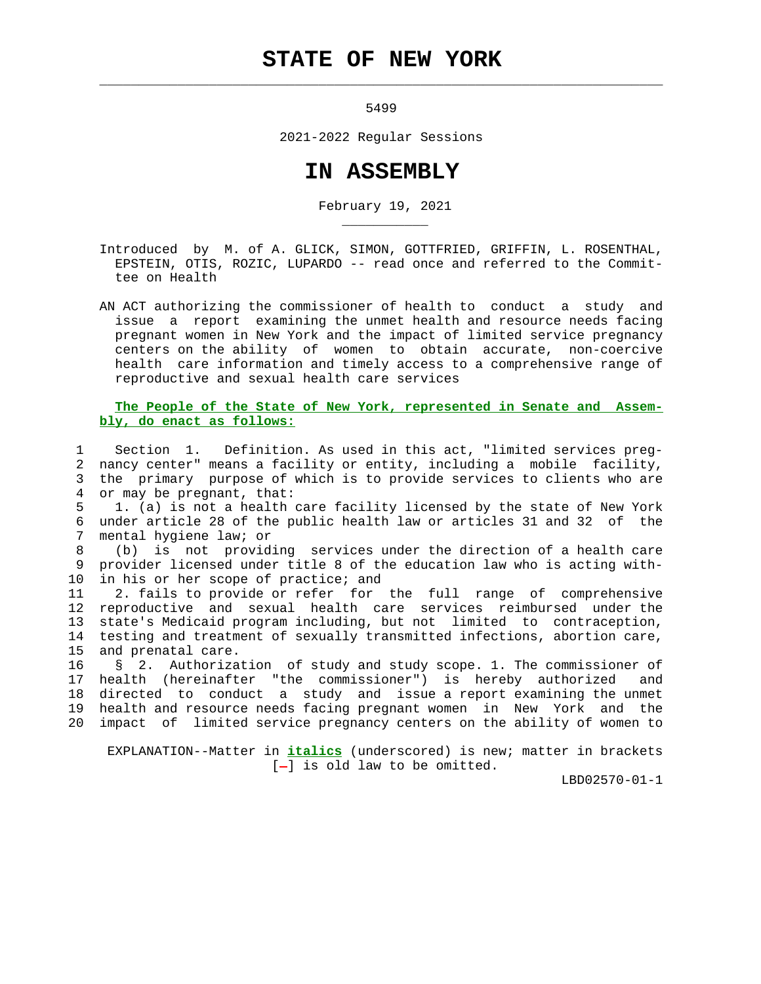## **STATE OF NEW YORK**

 $\mathcal{L}_\text{max} = \frac{1}{2} \sum_{i=1}^{n} \frac{1}{2} \sum_{i=1}^{n} \frac{1}{2} \sum_{i=1}^{n} \frac{1}{2} \sum_{i=1}^{n} \frac{1}{2} \sum_{i=1}^{n} \frac{1}{2} \sum_{i=1}^{n} \frac{1}{2} \sum_{i=1}^{n} \frac{1}{2} \sum_{i=1}^{n} \frac{1}{2} \sum_{i=1}^{n} \frac{1}{2} \sum_{i=1}^{n} \frac{1}{2} \sum_{i=1}^{n} \frac{1}{2} \sum_{i=1}^{n} \frac{1$ 

\_\_\_\_\_\_\_\_\_\_\_

5499

2021-2022 Regular Sessions

## **IN ASSEMBLY**

February 19, 2021

 Introduced by M. of A. GLICK, SIMON, GOTTFRIED, GRIFFIN, L. ROSENTHAL, EPSTEIN, OTIS, ROZIC, LUPARDO -- read once and referred to the Commit tee on Health

 AN ACT authorizing the commissioner of health to conduct a study and issue a report examining the unmet health and resource needs facing pregnant women in New York and the impact of limited service pregnancy centers on the ability of women to obtain accurate, non-coercive health care information and timely access to a comprehensive range of reproductive and sexual health care services

## **The People of the State of New York, represented in Senate and Assem bly, do enact as follows:**

 1 Section 1. Definition. As used in this act, "limited services preg- 2 nancy center" means a facility or entity, including a mobile facility, 3 the primary purpose of which is to provide services to clients who are 4 or may be pregnant, that:

 5 1. (a) is not a health care facility licensed by the state of New York 6 under article 28 of the public health law or articles 31 and 32 of the 7 mental hygiene law; or

 8 (b) is not providing services under the direction of a health care 9 provider licensed under title 8 of the education law who is acting with- 10 in his or her scope of practice; and

 11 2. fails to provide or refer for the full range of comprehensive 12 reproductive and sexual health care services reimbursed under the 13 state's Medicaid program including, but not limited to contraception, 14 testing and treatment of sexually transmitted infections, abortion care, 15 and prenatal care.

 16 § 2. Authorization of study and study scope. 1. The commissioner of 17 health (hereinafter "the commissioner") is hereby authorized and 18 directed to conduct a study and issue a report examining the unmet 19 health and resource needs facing pregnant women in New York and the 20 impact of limited service pregnancy centers on the ability of women to

 EXPLANATION--Matter in **italics** (underscored) is new; matter in brackets  $[-]$  is old law to be omitted.

LBD02570-01-1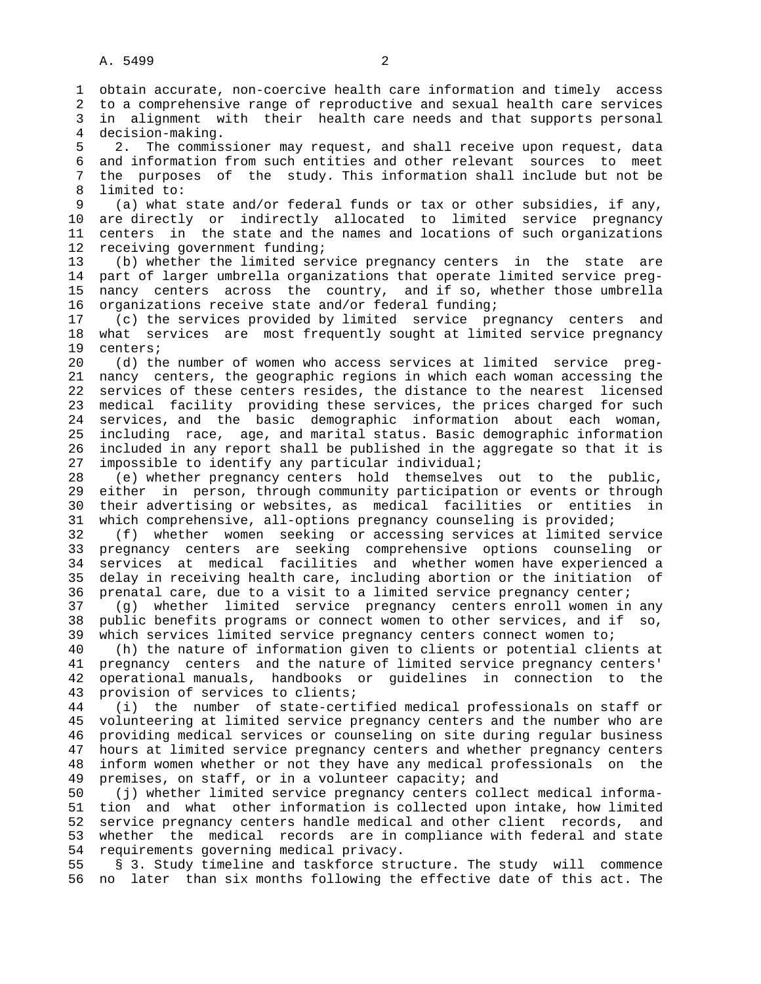1 obtain accurate, non-coercive health care information and timely access 2 to a comprehensive range of reproductive and sexual health care services 3 in alignment with their health care needs and that supports personal 4 decision-making. 5 2. The commissioner may request, and shall receive upon request, data 6 and information from such entities and other relevant sources to meet 7 the purposes of the study. This information shall include but not be 8 limited to:<br>9 (a) what (a) what state and/or federal funds or tax or other subsidies, if any, 10 are directly or indirectly allocated to limited service pregnancy 11 centers in the state and the names and locations of such organizations 12 receiving government funding; 13 (b) whether the limited service pregnancy centers in the state are 14 part of larger umbrella organizations that operate limited service preg- 15 nancy centers across the country, and if so, whether those umbrella 16 organizations receive state and/or federal funding; 17 (c) the services provided by limited service pregnancy centers and 18 what services are most frequently sought at limited service pregnancy 19 centers; 20 (d) the number of women who access services at limited service preg- 21 nancy centers, the geographic regions in which each woman accessing the 22 services of these centers resides, the distance to the nearest licensed 23 medical facility providing these services, the prices charged for such 24 services, and the basic demographic information about each woman, 25 including race, age, and marital status. Basic demographic information 26 included in any report shall be published in the aggregate so that it is 27 impossible to identify any particular individual; 28 (e) whether pregnancy centers hold themselves out to the public, 29 either in person, through community participation or events or through 30 their advertising or websites, as medical facilities or entities in 31 which comprehensive, all-options pregnancy counseling is provided; 32 (f) whether women seeking or accessing services at limited service 33 pregnancy centers are seeking comprehensive options counseling or 34 services at medical facilities and whether women have experienced a 35 delay in receiving health care, including abortion or the initiation of 36 prenatal care, due to a visit to a limited service pregnancy center; 37 (g) whether limited service pregnancy centers enroll women in any 38 public benefits programs or connect women to other services, and if so, 39 which services limited service pregnancy centers connect women to; 40 (h) the nature of information given to clients or potential clients at 41 pregnancy centers and the nature of limited service pregnancy centers' 42 operational manuals, handbooks or guidelines in connection to the

 43 provision of services to clients; 44 (i) the number of state-certified medical professionals on staff or 45 volunteering at limited service pregnancy centers and the number who are 46 providing medical services or counseling on site during regular business 47 hours at limited service pregnancy centers and whether pregnancy centers 48 inform women whether or not they have any medical professionals on the 49 premises, on staff, or in a volunteer capacity; and

 50 (j) whether limited service pregnancy centers collect medical informa- 51 tion and what other information is collected upon intake, how limited 52 service pregnancy centers handle medical and other client records, and 53 whether the medical records are in compliance with federal and state 54 requirements governing medical privacy.

 55 § 3. Study timeline and taskforce structure. The study will commence 56 no later than six months following the effective date of this act. The